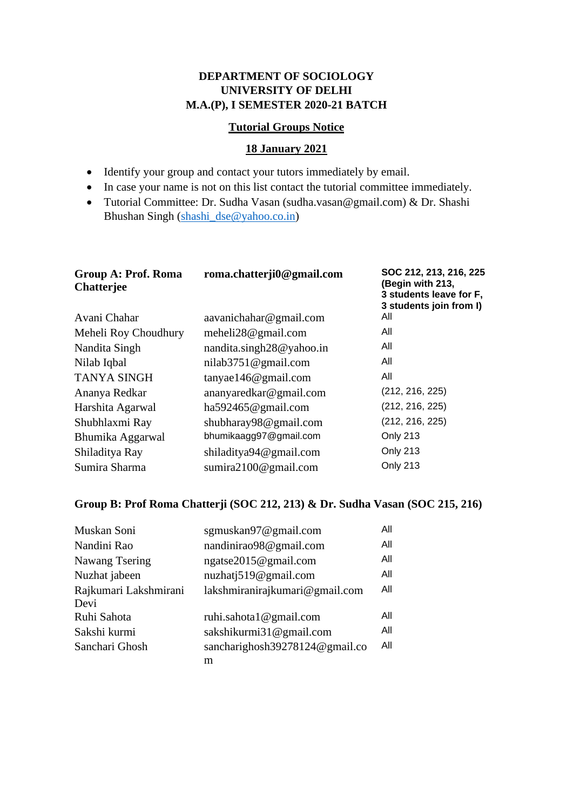## **DEPARTMENT OF SOCIOLOGY UNIVERSITY OF DELHI M.A.(P), I SEMESTER 2020-21 BATCH**

## **Tutorial Groups Notice**

## **18 January 2021**

- Identify your group and contact your tutors immediately by email.
- In case your name is not on this list contact the tutorial committee immediately.
- Tutorial Committee: Dr. Sudha Vasan (sudha.vasan@gmail.com) & Dr. Shashi Bhushan Singh [\(shashi\\_dse@yahoo.co.in\)](mailto:shashi_dse@yahoo.co.in)

| <b>Group A: Prof. Roma</b><br><b>Chatterjee</b> | roma.chatterji0@gmail.com | SOC 212, 213, 216, 225<br>(Begin with 213,<br>3 students leave for F,<br>3 students join from I) |
|-------------------------------------------------|---------------------------|--------------------------------------------------------------------------------------------------|
| Avani Chahar                                    | aavanichahar@gmail.com    | All                                                                                              |
| Meheli Roy Choudhury                            | meheli $28@$ gmail.com    | All                                                                                              |
| Nandita Singh                                   | nandita.singh28@yahoo.in  | All                                                                                              |
| Nilab Iqbal                                     | nilab $3751@$ gmail.com   | All                                                                                              |
| <b>TANYA SINGH</b>                              | $tan\$ ae146@gmail.com    | All                                                                                              |
| Ananya Redkar                                   | ananyaredkar@gmail.com    | (212, 216, 225)                                                                                  |
| Harshita Agarwal                                | ha592465@gmail.com        | (212, 216, 225)                                                                                  |
| Shubhlaxmi Ray                                  | shubharay98@gmail.com     | (212, 216, 225)                                                                                  |
| Bhumika Aggarwal                                | bhumikaagg97@gmail.com    | Only 213                                                                                         |
| Shiladitya Ray                                  | shiladitya94@gmail.com    | Only 213                                                                                         |
| Sumira Sharma                                   | sumira $2100@$ gmail.com  | Only 213                                                                                         |

## **Group B: Prof Roma Chatterji (SOC 212, 213) & Dr. Sudha Vasan (SOC 215, 216)**

| Muskan Soni           | sgmuskan97@gmail.com           | All |
|-----------------------|--------------------------------|-----|
| Nandini Rao           | nandinirao98@gmail.com         | All |
| Nawang Tsering        | ngatse2015@gmail.com           | All |
| Nuzhat jabeen         | nuzhatj519@gmail.com           | All |
| Rajkumari Lakshmirani | lakshmiranirajkumari@gmail.com | All |
| Devi                  |                                |     |
| Ruhi Sahota           | ruhi.sahota1@gmail.com         | All |
| Sakshi kurmi          | sakshikurmi31@gmail.com        | All |
| Sanchari Ghosh        | sancharighosh39278124@gmail.co | All |
|                       | m                              |     |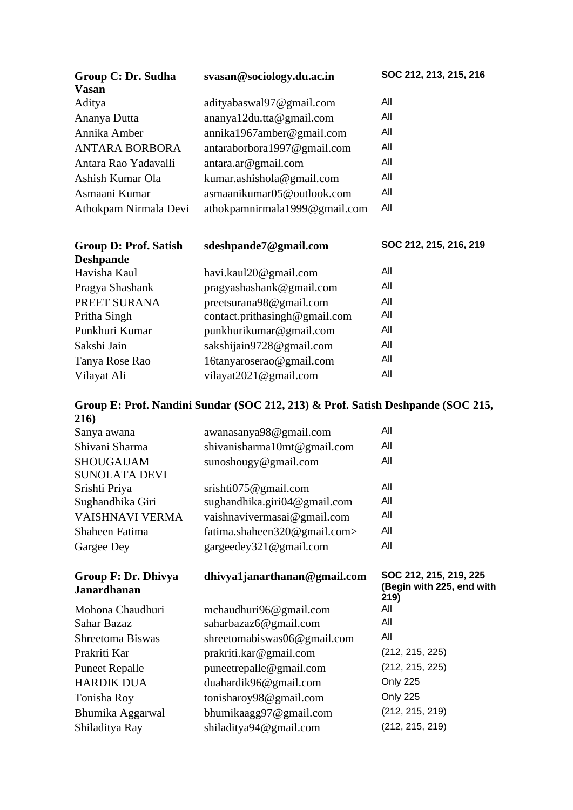| Group C: Dr. Sudha           | svasan@sociology.du.ac.in     | SOC 212, 213, 215, 216 |
|------------------------------|-------------------------------|------------------------|
| <b>Vasan</b>                 |                               |                        |
| Aditya                       | adityabaswal97@gmail.com      | All                    |
| Ananya Dutta                 | ananya12du.tta@gmail.com      | All                    |
| Annika Amber                 | annika1967amber@gmail.com     | All                    |
| <b>ANTARA BORBORA</b>        | antaraborbora1997@gmail.com   | All                    |
| Antara Rao Yadavalli         | antara.ar@gmail.com           | All                    |
| Ashish Kumar Ola             | kumar.ashishola@gmail.com     | All                    |
| Asmaani Kumar                | asmaanikumar05@outlook.com    | All                    |
| Athokpam Nirmala Devi        | athokpamnirmala1999@gmail.com | All                    |
|                              |                               |                        |
| <b>Group D: Prof. Satish</b> | sdeshpande7@gmail.com         | SOC 212, 215, 216, 219 |
| <b>Deshpande</b>             |                               |                        |
|                              | havi.kaul20@gmail.com         | All                    |
| Havisha Kaul                 |                               |                        |
| Pragya Shashank              | pragyashashank@gmail.com      | All                    |
| PREET SURANA                 | preetsurana98@gmail.com       | All                    |
| Pritha Singh                 | contact.prithasingh@gmail.com | All                    |
| Punkhuri Kumar               | punkhurikumar@gmail.com       | All                    |
| Sakshi Jain                  | sakshijain9728@gmail.com      | All                    |
| Tanya Rose Rao               | 16tanyaroserao@gmail.com      | All                    |
| Vilayat Ali                  | vilayat2021@gmail.com         | All                    |

|                | Group E: Prof. Nandini Sundar (SOC 212, 213) & Prof. Satish Deshpande (SOC 215, |     |
|----------------|---------------------------------------------------------------------------------|-----|
| 216)           |                                                                                 |     |
| Sanya awana    | awanasanya98@gmail.com                                                          | All |
| Shivani Sharma | shiyanisharma10mt@omail.com                                                     | All |

| Shivani Sharma             | shivanisharma10mt@gmail.com      | All                                                 |
|----------------------------|----------------------------------|-----------------------------------------------------|
| <b>SHOUGAIJAM</b>          | sunoshougy@gmail.com             | All                                                 |
| <b>SUNOLATA DEVI</b>       |                                  |                                                     |
| Srishti Priya              | srishti $075@$ gmail.com         | All                                                 |
| Sughandhika Giri           | sughandhika.giri $04@$ gmail.com | All                                                 |
| VAISHNAVI VERMA            | vaishnavivermasai@gmail.com      | All                                                 |
| Shaheen Fatima             | fatima.shaheen320@gmail.com>     | All                                                 |
| Gargee Dey                 | gargeedey321@gmail.com           | All                                                 |
| <b>Group F: Dr. Dhivya</b> | dhivya1janarthanan@gmail.com     | SOC 212, 215, 219, 225<br>(Begin with 225, end with |
| <b>Janardhanan</b>         |                                  |                                                     |
| Mohona Chaudhuri           | mchaudhuri96@gmail.com           | 219)<br>All                                         |
| Sahar Bazaz                | saharbazaz6@gmail.com            | All                                                 |
| Shreetoma Biswas           | shreetomabiswas06@gmail.com      | All                                                 |
| Prakriti Kar               | prakriti.kar@gmail.com           | (212, 215, 225)                                     |
| <b>Puneet Repalle</b>      | puneetrepalle@gmail.com          | (212, 215, 225)                                     |
| <b>HARDIK DUA</b>          | duahardik96@gmail.com            | Only 225                                            |
| Tonisha Roy                | tonisharoy98@gmail.com           | Only 225                                            |
| Bhumika Aggarwal           | bhumikaagg97@gmail.com           | (212, 215, 219)                                     |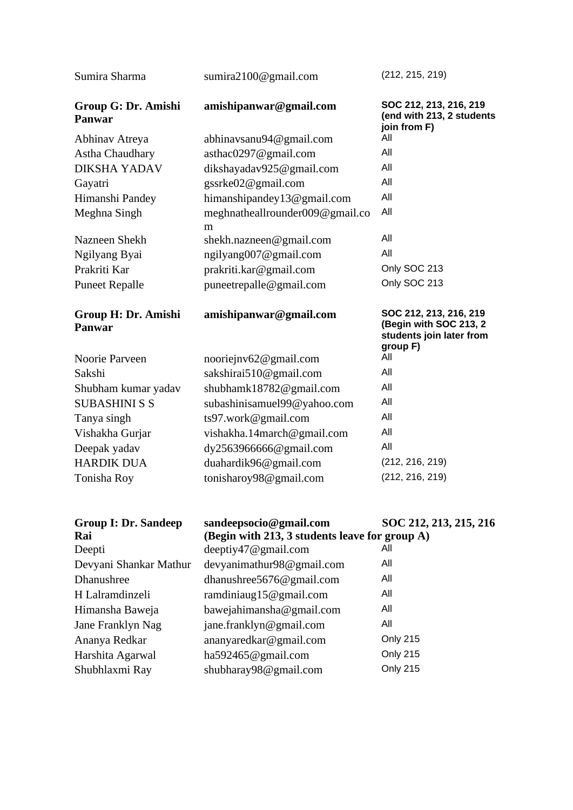| Sumira Sharma                        | sumira $2100@$ gmail.com                                                 | (212, 215, 219)                                                                          |
|--------------------------------------|--------------------------------------------------------------------------|------------------------------------------------------------------------------------------|
| Group G: Dr. Amishi<br><b>Panwar</b> | amishipanwar@gmail.com                                                   | SOC 212, 213, 216, 219<br>(end with 213, 2 students<br>join from F)                      |
| Abhinav Atreya                       | abhinavsanu94@gmail.com                                                  | All                                                                                      |
| Astha Chaudhary                      | asthac0297@gmail.com                                                     | All                                                                                      |
| <b>DIKSHA YADAV</b>                  | dikshayadav925@gmail.com                                                 | All                                                                                      |
| Gayatri                              | gssrke02@gmail.com                                                       | All                                                                                      |
| Himanshi Pandey                      | himanshipandey13@gmail.com                                               | All                                                                                      |
| Meghna Singh                         | meghnatheallrounder009@gmail.co<br>m                                     | All                                                                                      |
| Nazneen Shekh                        | shekh.nazneen@gmail.com                                                  | All                                                                                      |
| Ngilyang Byai                        | ngilyang007@gmail.com                                                    | All                                                                                      |
| Prakriti Kar                         | prakriti.kar@gmail.com                                                   | Only SOC 213                                                                             |
| <b>Puneet Repalle</b>                | puneetrepalle@gmail.com                                                  | Only SOC 213                                                                             |
| Group H: Dr. Amishi<br><b>Panwar</b> | amishipanwar@gmail.com                                                   | SOC 212, 213, 216, 219<br>(Begin with SOC 213, 2<br>students join later from<br>group F) |
| Noorie Parveen                       | nooriejnv62@gmail.com                                                    | All                                                                                      |
| Sakshi                               | sakshirai510@gmail.com                                                   | All                                                                                      |
| Shubham kumar yadav                  | shubhamk18782@gmail.com                                                  | All                                                                                      |
| <b>SUBASHINI S S</b>                 | subashinisamuel99@yahoo.com                                              | All                                                                                      |
| Tanya singh                          | ts97.work@gmail.com                                                      | All                                                                                      |
| Vishakha Gurjar                      | vishakha.14march@gmail.com                                               | All                                                                                      |
| Deepak yadav                         | dy2563966666@gmail.com                                                   | All                                                                                      |
| <b>HARDIK DUA</b>                    | duahardik96@gmail.com                                                    | (212, 216, 219)                                                                          |
| Tonisha Roy                          | tonisharoy98@gmail.com                                                   | (212, 216, 219)                                                                          |
| <b>Group I: Dr. Sandeep</b><br>Rai   | sandeepsocio@gmail.com<br>(Begin with 213, 3 students leave for group A) | SOC 212, 213, 215, 216                                                                   |
| Deepti                               | deeptiy47@gmail.com                                                      | All                                                                                      |
| Devyani Shankar Mathur               | devyanimathur98@gmail.com                                                | All                                                                                      |
| Dhanushree                           | dhanushree5676@gmail.com                                                 | All                                                                                      |
| H Lalramdinzeli                      | ramdiniaug15@gmail.com                                                   | All                                                                                      |
| Himansha Baweja                      | bawejahimansha@gmail.com                                                 | All                                                                                      |
| Jane Franklyn Nag                    | jane.franklyn@gmail.com                                                  | All                                                                                      |
| Ananya Redkar                        | ananyaredkar@gmail.com                                                   | Only 215                                                                                 |
| Harshita Agarwal                     | ha592465@gmail.com                                                       | <b>Only 215</b>                                                                          |
| Shubhlaxmi Ray                       | shubharay98@gmail.com                                                    | <b>Only 215</b>                                                                          |